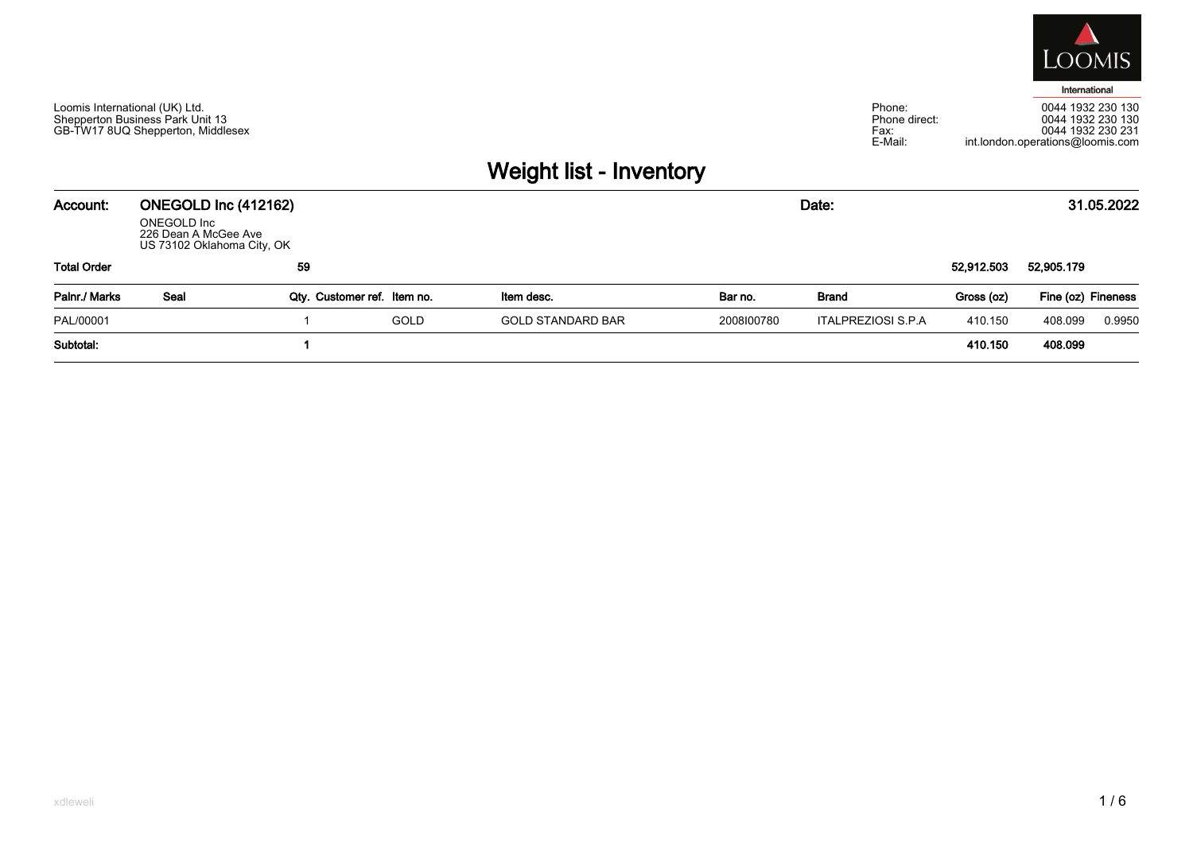

Phone:<br>Phone direct:  $Fax$ E-Mail:

0044 1932 230 130<br>0044 1932 230 130<br>0044 1932 230 231 int.london.operations@loomis.com

## Weight list - Inventory

| Account:           | ONEGOLD Inc (412162)<br>ONEGOLD Inc<br>226 Dean A McGee Ave<br>US 73102 Oklahoma City, OK |                             |             |                          |            |                           | 31.05.2022 |                    |        |
|--------------------|-------------------------------------------------------------------------------------------|-----------------------------|-------------|--------------------------|------------|---------------------------|------------|--------------------|--------|
| <b>Total Order</b> |                                                                                           | 59                          |             |                          |            |                           | 52,912.503 | 52,905.179         |        |
| Palnr./ Marks      | Seal                                                                                      | Qty. Customer ref. Item no. |             | Item desc.               | Bar no.    | Brand                     | Gross (oz) | Fine (oz) Fineness |        |
| PAL/00001          |                                                                                           |                             | <b>GOLD</b> | <b>GOLD STANDARD BAR</b> | 2008100780 | <b>ITALPREZIOSI S.P.A</b> | 410.150    | 408.099            | 0.9950 |
| Subtotal:          |                                                                                           |                             |             |                          |            |                           | 410.150    | 408.099            |        |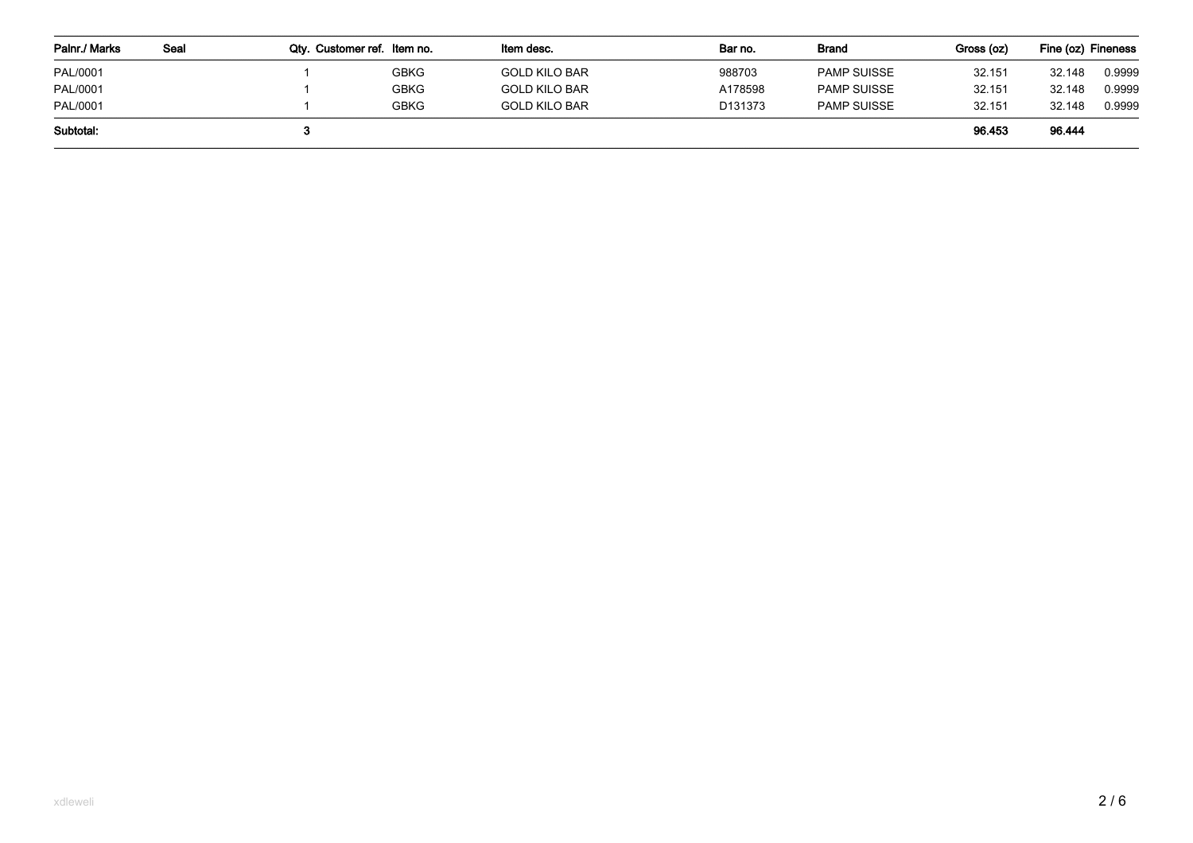| Palnr./ Marks | Seal | Qty. Customer ref. Item no. |             | ltem desc.           | Bar no.             | Brand              | Gross (oz) | Fine (oz) Fineness |        |  |
|---------------|------|-----------------------------|-------------|----------------------|---------------------|--------------------|------------|--------------------|--------|--|
| PAL/0001      |      |                             | GBKG        | <b>GOLD KILO BAR</b> | 988703              | <b>PAMP SUISSE</b> | 32.151     | 32.148             | 0.9999 |  |
| PAL/0001      |      |                             | <b>GBKG</b> | <b>GOLD KILO BAR</b> | A178598             | <b>PAMP SUISSE</b> | 32.151     | 32.148             | 0.9999 |  |
| PAL/0001      |      |                             | <b>GBKG</b> | <b>GOLD KILO BAR</b> | D <sub>131373</sub> | <b>PAMP SUISSE</b> | 32.151     | 32.148             | 0.9999 |  |
| Subtotal:     |      |                             |             |                      |                     |                    | 96.453     | 96.444             |        |  |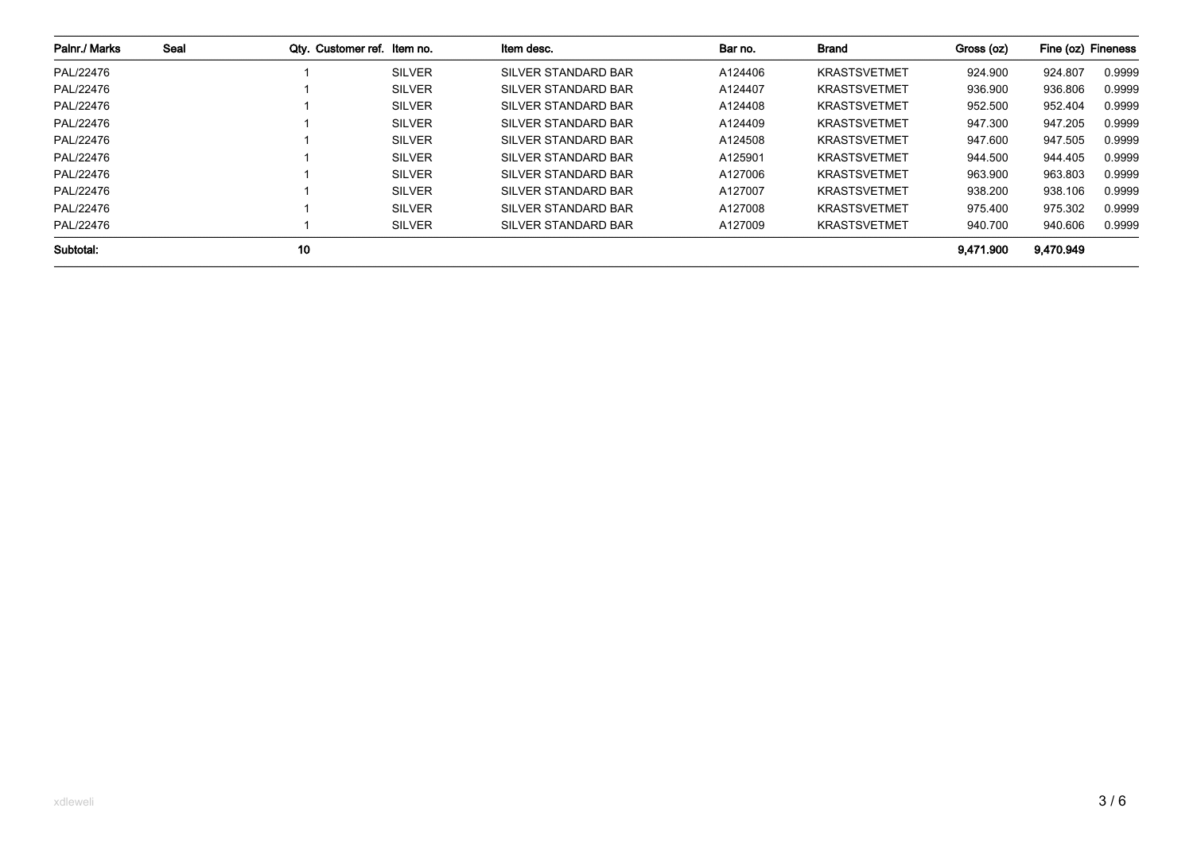| Palnr./ Marks | Seal | Qty. Customer ref. Item no. |               | Item desc.                 | Bar no. | Brand               | Gross (oz) | Fine (oz) Fineness |        |
|---------------|------|-----------------------------|---------------|----------------------------|---------|---------------------|------------|--------------------|--------|
| PAL/22476     |      |                             | <b>SILVER</b> | <b>SILVER STANDARD BAR</b> | A124406 | <b>KRASTSVETMET</b> | 924.900    | 924.807            | 0.9999 |
| PAL/22476     |      |                             | <b>SILVER</b> | SILVER STANDARD BAR        | A124407 | <b>KRASTSVETMET</b> | 936.900    | 936.806            | 0.9999 |
| PAL/22476     |      |                             | <b>SILVER</b> | SILVER STANDARD BAR        | A124408 | <b>KRASTSVETMET</b> | 952.500    | 952.404            | 0.9999 |
| PAL/22476     |      |                             | <b>SILVER</b> | SILVER STANDARD BAR        | A124409 | <b>KRASTSVETMET</b> | 947.300    | 947.205            | 0.9999 |
| PAL/22476     |      |                             | <b>SILVER</b> | SILVER STANDARD BAR        | A124508 | <b>KRASTSVETMET</b> | 947.600    | 947.505            | 0.9999 |
| PAL/22476     |      |                             | <b>SILVER</b> | SILVER STANDARD BAR        | A125901 | <b>KRASTSVETMET</b> | 944.500    | 944.405            | 0.9999 |
| PAL/22476     |      |                             | <b>SILVER</b> | SILVER STANDARD BAR        | A127006 | <b>KRASTSVETMET</b> | 963.900    | 963.803            | 0.9999 |
| PAL/22476     |      |                             | <b>SILVER</b> | SILVER STANDARD BAR        | A127007 | <b>KRASTSVETMET</b> | 938.200    | 938.106            | 0.9999 |
| PAL/22476     |      |                             | <b>SILVER</b> | SILVER STANDARD BAR        | A127008 | <b>KRASTSVETMET</b> | 975.400    | 975.302            | 0.9999 |
| PAL/22476     |      |                             | <b>SILVER</b> | SILVER STANDARD BAR        | A127009 | <b>KRASTSVETMET</b> | 940.700    | 940.606            | 0.9999 |
| Subtotal:     |      | 10                          |               |                            |         |                     | 9.471.900  | 9,470.949          |        |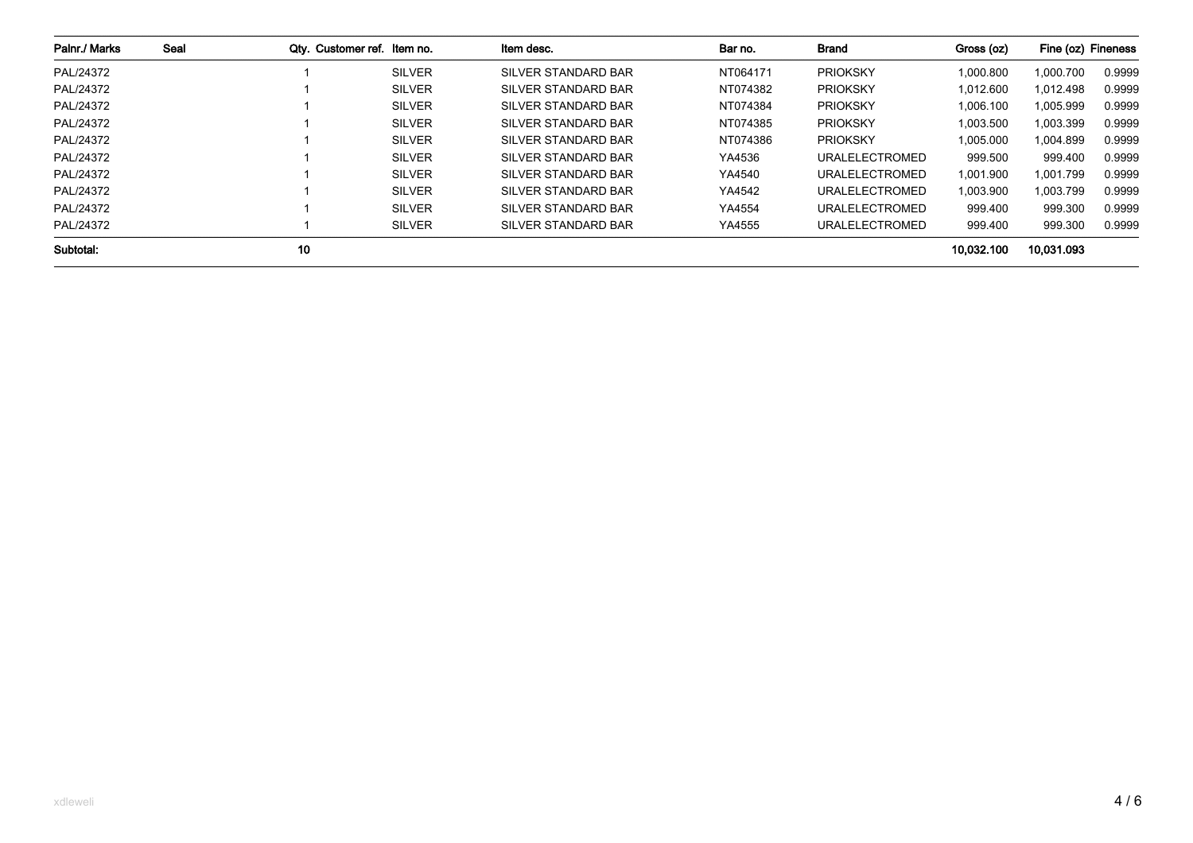| Palnr./ Marks | Seal | Qty. Customer ref. Item no. |               | Item desc.          | Bar no.  | Brand                 | Gross (oz) | Fine (oz) Fineness |        |
|---------------|------|-----------------------------|---------------|---------------------|----------|-----------------------|------------|--------------------|--------|
| PAL/24372     |      |                             | <b>SILVER</b> | SILVER STANDARD BAR | NT064171 | <b>PRIOKSKY</b>       | 1,000.800  | 1,000.700          | 0.9999 |
| PAL/24372     |      |                             | <b>SILVER</b> | SILVER STANDARD BAR | NT074382 | <b>PRIOKSKY</b>       | 1.012.600  | 1.012.498          | 0.9999 |
| PAL/24372     |      |                             | <b>SILVER</b> | SILVER STANDARD BAR | NT074384 | <b>PRIOKSKY</b>       | 1.006.100  | 1,005.999          | 0.9999 |
| PAL/24372     |      |                             | <b>SILVER</b> | SILVER STANDARD BAR | NT074385 | <b>PRIOKSKY</b>       | 1.003.500  | 1,003.399          | 0.9999 |
| PAL/24372     |      |                             | <b>SILVER</b> | SILVER STANDARD BAR | NT074386 | <b>PRIOKSKY</b>       | 1.005.000  | 1,004.899          | 0.9999 |
| PAL/24372     |      |                             | <b>SILVER</b> | SILVER STANDARD BAR | YA4536   | URALELECTROMED        | 999.500    | 999.400            | 0.9999 |
| PAL/24372     |      |                             | <b>SILVER</b> | SILVER STANDARD BAR | YA4540   | URALELECTROMED        | 1.001.900  | 1,001.799          | 0.9999 |
| PAL/24372     |      |                             | <b>SILVER</b> | SILVER STANDARD BAR | YA4542   | <b>URALELECTROMED</b> | 1.003.900  | 1,003.799          | 0.9999 |
| PAL/24372     |      |                             | <b>SILVER</b> | SILVER STANDARD BAR | YA4554   | URALELECTROMED        | 999.400    | 999.300            | 0.9999 |
| PAL/24372     |      |                             | <b>SILVER</b> | SILVER STANDARD BAR | YA4555   | URALELECTROMED        | 999.400    | 999.300            | 0.9999 |
| Subtotal:     |      | 10                          |               |                     |          |                       | 10.032.100 | 10.031.093         |        |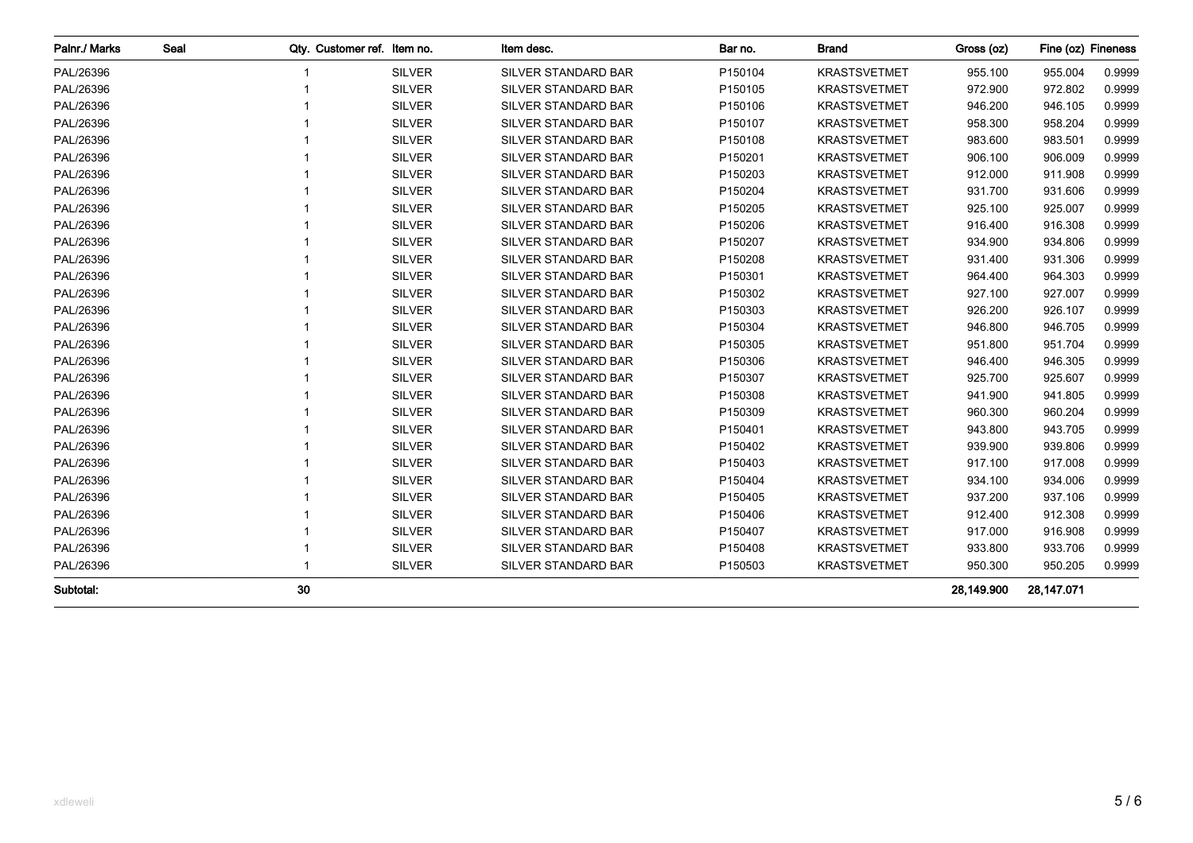| Palnr./ Marks | Seal | Qty. Customer ref. Item no. |               | Item desc.                 | Bar no. | <b>Brand</b>        | Gross (oz) | Fine (oz) Fineness |        |
|---------------|------|-----------------------------|---------------|----------------------------|---------|---------------------|------------|--------------------|--------|
| PAL/26396     |      |                             | <b>SILVER</b> | SILVER STANDARD BAR        | P150104 | <b>KRASTSVETMET</b> | 955.100    | 955.004            | 0.9999 |
| PAL/26396     |      |                             | <b>SILVER</b> | <b>SILVER STANDARD BAR</b> | P150105 | <b>KRASTSVETMET</b> | 972.900    | 972.802            | 0.9999 |
| PAL/26396     |      |                             | <b>SILVER</b> | <b>SILVER STANDARD BAR</b> | P150106 | <b>KRASTSVETMET</b> | 946.200    | 946.105            | 0.9999 |
| PAL/26396     |      |                             | <b>SILVER</b> | SILVER STANDARD BAR        | P150107 | <b>KRASTSVETMET</b> | 958.300    | 958.204            | 0.9999 |
| PAL/26396     |      |                             | <b>SILVER</b> | SILVER STANDARD BAR        | P150108 | <b>KRASTSVETMET</b> | 983.600    | 983.501            | 0.9999 |
| PAL/26396     |      |                             | <b>SILVER</b> | SILVER STANDARD BAR        | P150201 | <b>KRASTSVETMET</b> | 906.100    | 906.009            | 0.9999 |
| PAL/26396     |      |                             | <b>SILVER</b> | SILVER STANDARD BAR        | P150203 | <b>KRASTSVETMET</b> | 912.000    | 911.908            | 0.9999 |
| PAL/26396     |      |                             | <b>SILVER</b> | SILVER STANDARD BAR        | P150204 | <b>KRASTSVETMET</b> | 931.700    | 931.606            | 0.9999 |
| PAL/26396     |      |                             | <b>SILVER</b> | <b>SILVER STANDARD BAR</b> | P150205 | <b>KRASTSVETMET</b> | 925.100    | 925.007            | 0.9999 |
| PAL/26396     |      |                             | <b>SILVER</b> | <b>SILVER STANDARD BAR</b> | P150206 | <b>KRASTSVETMET</b> | 916.400    | 916.308            | 0.9999 |
| PAL/26396     |      |                             | <b>SILVER</b> | <b>SILVER STANDARD BAR</b> | P150207 | <b>KRASTSVETMET</b> | 934.900    | 934.806            | 0.9999 |
| PAL/26396     |      |                             | <b>SILVER</b> | SILVER STANDARD BAR        | P150208 | <b>KRASTSVETMET</b> | 931.400    | 931.306            | 0.9999 |
| PAL/26396     |      |                             | <b>SILVER</b> | <b>SILVER STANDARD BAR</b> | P150301 | <b>KRASTSVETMET</b> | 964.400    | 964.303            | 0.9999 |
| PAL/26396     |      |                             | <b>SILVER</b> | <b>SILVER STANDARD BAR</b> | P150302 | <b>KRASTSVETMET</b> | 927.100    | 927.007            | 0.9999 |
| PAL/26396     |      |                             | <b>SILVER</b> | <b>SILVER STANDARD BAR</b> | P150303 | <b>KRASTSVETMET</b> | 926.200    | 926.107            | 0.9999 |
| PAL/26396     |      |                             | <b>SILVER</b> | SILVER STANDARD BAR        | P150304 | <b>KRASTSVETMET</b> | 946.800    | 946.705            | 0.9999 |
| PAL/26396     |      |                             | <b>SILVER</b> | SILVER STANDARD BAR        | P150305 | <b>KRASTSVETMET</b> | 951.800    | 951.704            | 0.9999 |
| PAL/26396     |      |                             | <b>SILVER</b> | SILVER STANDARD BAR        | P150306 | <b>KRASTSVETMET</b> | 946.400    | 946.305            | 0.9999 |
| PAL/26396     |      |                             | <b>SILVER</b> | SILVER STANDARD BAR        | P150307 | <b>KRASTSVETMET</b> | 925.700    | 925.607            | 0.9999 |
| PAL/26396     |      |                             | <b>SILVER</b> | SILVER STANDARD BAR        | P150308 | <b>KRASTSVETMET</b> | 941.900    | 941.805            | 0.9999 |
| PAL/26396     |      |                             | <b>SILVER</b> | SILVER STANDARD BAR        | P150309 | <b>KRASTSVETMET</b> | 960.300    | 960.204            | 0.9999 |
| PAL/26396     |      |                             | <b>SILVER</b> | SILVER STANDARD BAR        | P150401 | <b>KRASTSVETMET</b> | 943.800    | 943.705            | 0.9999 |
| PAL/26396     |      |                             | <b>SILVER</b> | <b>SILVER STANDARD BAR</b> | P150402 | <b>KRASTSVETMET</b> | 939.900    | 939.806            | 0.9999 |
| PAL/26396     |      |                             | <b>SILVER</b> | <b>SILVER STANDARD BAR</b> | P150403 | <b>KRASTSVETMET</b> | 917.100    | 917.008            | 0.9999 |
| PAL/26396     |      |                             | <b>SILVER</b> | <b>SILVER STANDARD BAR</b> | P150404 | <b>KRASTSVETMET</b> | 934.100    | 934.006            | 0.9999 |
| PAL/26396     |      |                             | <b>SILVER</b> | <b>SILVER STANDARD BAR</b> | P150405 | <b>KRASTSVETMET</b> | 937.200    | 937.106            | 0.9999 |
| PAL/26396     |      |                             | <b>SILVER</b> | <b>SILVER STANDARD BAR</b> | P150406 | <b>KRASTSVETMET</b> | 912.400    | 912.308            | 0.9999 |
| PAL/26396     |      |                             | <b>SILVER</b> | SILVER STANDARD BAR        | P150407 | <b>KRASTSVETMET</b> | 917.000    | 916.908            | 0.9999 |
| PAL/26396     |      |                             | <b>SILVER</b> | SILVER STANDARD BAR        | P150408 | <b>KRASTSVETMET</b> | 933.800    | 933.706            | 0.9999 |
| PAL/26396     |      |                             | <b>SILVER</b> | SILVER STANDARD BAR        | P150503 | <b>KRASTSVETMET</b> | 950.300    | 950.205            | 0.9999 |
| Subtotal:     |      | 30                          |               |                            |         |                     | 28,149.900 | 28,147.071         |        |